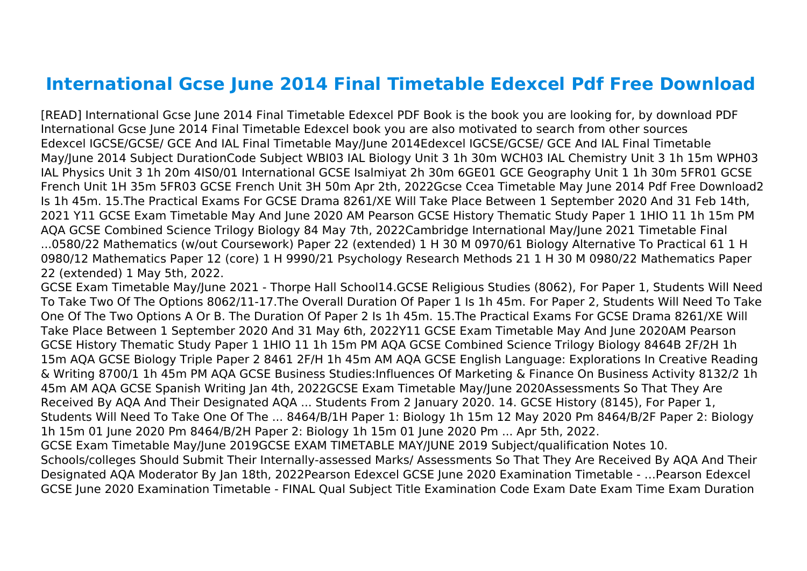## **International Gcse June 2014 Final Timetable Edexcel Pdf Free Download**

[READ] International Gcse June 2014 Final Timetable Edexcel PDF Book is the book you are looking for, by download PDF International Gcse June 2014 Final Timetable Edexcel book you are also motivated to search from other sources Edexcel IGCSE/GCSE/ GCE And IAL Final Timetable May/June 2014Edexcel IGCSE/GCSE/ GCE And IAL Final Timetable May/June 2014 Subject DurationCode Subject WBI03 IAL Biology Unit 3 1h 30m WCH03 IAL Chemistry Unit 3 1h 15m WPH03 IAL Physics Unit 3 1h 20m 4IS0/01 International GCSE Isalmiyat 2h 30m 6GE01 GCE Geography Unit 1 1h 30m 5FR01 GCSE French Unit 1H 35m 5FR03 GCSE French Unit 3H 50m Apr 2th, 2022Gcse Ccea Timetable May June 2014 Pdf Free Download2 Is 1h 45m. 15.The Practical Exams For GCSE Drama 8261/XE Will Take Place Between 1 September 2020 And 31 Feb 14th, 2021 Y11 GCSE Exam Timetable May And June 2020 AM Pearson GCSE History Thematic Study Paper 1 1HIO 11 1h 15m PM AQA GCSE Combined Science Trilogy Biology 84 May 7th, 2022Cambridge International May/June 2021 Timetable Final ...0580/22 Mathematics (w/out Coursework) Paper 22 (extended) 1 H 30 M 0970/61 Biology Alternative To Practical 61 1 H 0980/12 Mathematics Paper 12 (core) 1 H 9990/21 Psychology Research Methods 21 1 H 30 M 0980/22 Mathematics Paper 22 (extended) 1 May 5th, 2022.

GCSE Exam Timetable May/June 2021 - Thorpe Hall School14.GCSE Religious Studies (8062), For Paper 1, Students Will Need To Take Two Of The Options 8062/11-17.The Overall Duration Of Paper 1 Is 1h 45m. For Paper 2, Students Will Need To Take One Of The Two Options A Or B. The Duration Of Paper 2 Is 1h 45m. 15.The Practical Exams For GCSE Drama 8261/XE Will Take Place Between 1 September 2020 And 31 May 6th, 2022Y11 GCSE Exam Timetable May And June 2020AM Pearson GCSE History Thematic Study Paper 1 1HIO 11 1h 15m PM AQA GCSE Combined Science Trilogy Biology 8464B 2F/2H 1h 15m AQA GCSE Biology Triple Paper 2 8461 2F/H 1h 45m AM AQA GCSE English Language: Explorations In Creative Reading & Writing 8700/1 1h 45m PM AQA GCSE Business Studies:Influences Of Marketing & Finance On Business Activity 8132/2 1h 45m AM AQA GCSE Spanish Writing Jan 4th, 2022GCSE Exam Timetable May/June 2020Assessments So That They Are Received By AQA And Their Designated AQA ... Students From 2 January 2020. 14. GCSE History (8145), For Paper 1, Students Will Need To Take One Of The ... 8464/B/1H Paper 1: Biology 1h 15m 12 May 2020 Pm 8464/B/2F Paper 2: Biology 1h 15m 01 June 2020 Pm 8464/B/2H Paper 2: Biology 1h 15m 01 June 2020 Pm ... Apr 5th, 2022. GCSE Exam Timetable May/June 2019GCSE EXAM TIMETABLE MAY/JUNE 2019 Subject/qualification Notes 10. Schools/colleges Should Submit Their Internally-assessed Marks/ Assessments So That They Are Received By AQA And Their Designated AQA Moderator By Jan 18th, 2022Pearson Edexcel GCSE June 2020 Examination Timetable - …Pearson Edexcel GCSE June 2020 Examination Timetable - FINAL Qual Subject Title Examination Code Exam Date Exam Time Exam Duration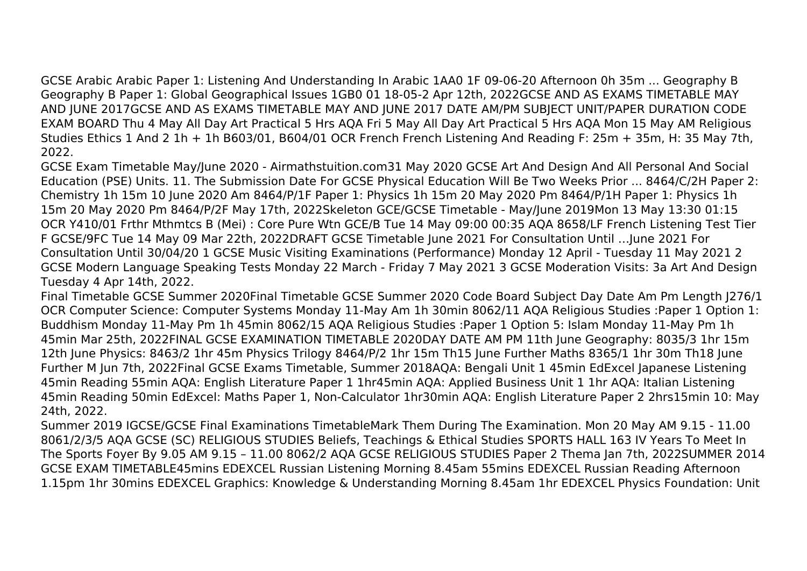GCSE Arabic Arabic Paper 1: Listening And Understanding In Arabic 1AA0 1F 09-06-20 Afternoon 0h 35m ... Geography B Geography B Paper 1: Global Geographical Issues 1GB0 01 18-05-2 Apr 12th, 2022GCSE AND AS EXAMS TIMETABLE MAY AND JUNE 2017GCSE AND AS EXAMS TIMETABLE MAY AND JUNE 2017 DATE AM/PM SUBJECT UNIT/PAPER DURATION CODE EXAM BOARD Thu 4 May All Day Art Practical 5 Hrs AQA Fri 5 May All Day Art Practical 5 Hrs AQA Mon 15 May AM Religious Studies Ethics 1 And 2 1h + 1h B603/01, B604/01 OCR French French Listening And Reading F: 25m + 35m, H: 35 May 7th, 2022.

GCSE Exam Timetable May/June 2020 - Airmathstuition.com31 May 2020 GCSE Art And Design And All Personal And Social Education (PSE) Units. 11. The Submission Date For GCSE Physical Education Will Be Two Weeks Prior ... 8464/C/2H Paper 2: Chemistry 1h 15m 10 June 2020 Am 8464/P/1F Paper 1: Physics 1h 15m 20 May 2020 Pm 8464/P/1H Paper 1: Physics 1h 15m 20 May 2020 Pm 8464/P/2F May 17th, 2022Skeleton GCE/GCSE Timetable - May/June 2019Mon 13 May 13:30 01:15 OCR Y410/01 Frthr Mthmtcs B (Mei) : Core Pure Wtn GCE/B Tue 14 May 09:00 00:35 AQA 8658/LF French Listening Test Tier F GCSE/9FC Tue 14 May 09 Mar 22th, 2022DRAFT GCSE Timetable June 2021 For Consultation Until …June 2021 For Consultation Until 30/04/20 1 GCSE Music Visiting Examinations (Performance) Monday 12 April - Tuesday 11 May 2021 2 GCSE Modern Language Speaking Tests Monday 22 March - Friday 7 May 2021 3 GCSE Moderation Visits: 3a Art And Design Tuesday 4 Apr 14th, 2022.

Final Timetable GCSE Summer 2020Final Timetable GCSE Summer 2020 Code Board Subject Day Date Am Pm Length J276/1 OCR Computer Science: Computer Systems Monday 11-May Am 1h 30min 8062/11 AQA Religious Studies :Paper 1 Option 1: Buddhism Monday 11-May Pm 1h 45min 8062/15 AQA Religious Studies :Paper 1 Option 5: Islam Monday 11-May Pm 1h 45min Mar 25th, 2022FINAL GCSE EXAMINATION TIMETABLE 2020DAY DATE AM PM 11th June Geography: 8035/3 1hr 15m 12th June Physics: 8463/2 1hr 45m Physics Trilogy 8464/P/2 1hr 15m Th15 June Further Maths 8365/1 1hr 30m Th18 June Further M Jun 7th, 2022Final GCSE Exams Timetable, Summer 2018AQA: Bengali Unit 1 45min EdExcel Japanese Listening 45min Reading 55min AQA: English Literature Paper 1 1hr45min AQA: Applied Business Unit 1 1hr AQA: Italian Listening 45min Reading 50min EdExcel: Maths Paper 1, Non-Calculator 1hr30min AQA: English Literature Paper 2 2hrs15min 10: May 24th, 2022.

Summer 2019 IGCSE/GCSE Final Examinations TimetableMark Them During The Examination. Mon 20 May AM 9.15 - 11.00 8061/2/3/5 AQA GCSE (SC) RELIGIOUS STUDIES Beliefs, Teachings & Ethical Studies SPORTS HALL 163 IV Years To Meet In The Sports Foyer By 9.05 AM 9.15 – 11.00 8062/2 AQA GCSE RELIGIOUS STUDIES Paper 2 Thema Jan 7th, 2022SUMMER 2014 GCSE EXAM TIMETABLE45mins EDEXCEL Russian Listening Morning 8.45am 55mins EDEXCEL Russian Reading Afternoon 1.15pm 1hr 30mins EDEXCEL Graphics: Knowledge & Understanding Morning 8.45am 1hr EDEXCEL Physics Foundation: Unit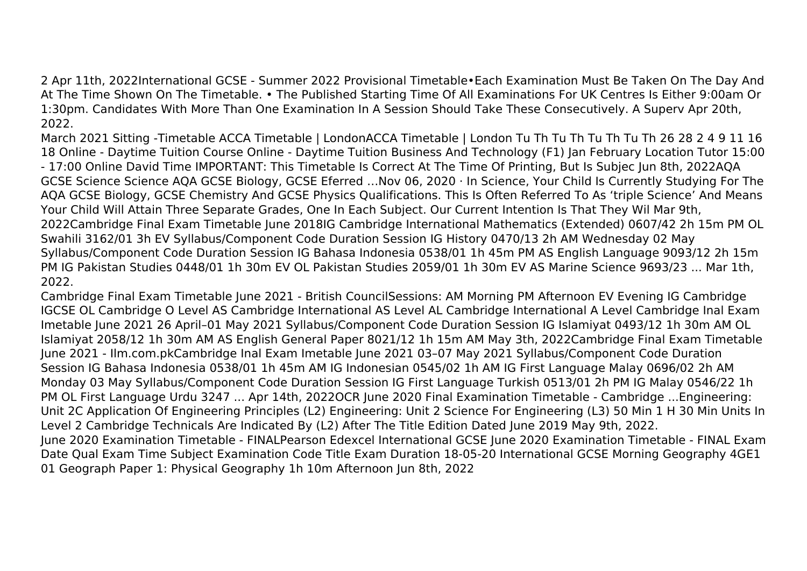2 Apr 11th, 2022International GCSE - Summer 2022 Provisional Timetable•Each Examination Must Be Taken On The Day And At The Time Shown On The Timetable. • The Published Starting Time Of All Examinations For UK Centres Is Either 9:00am Or 1:30pm. Candidates With More Than One Examination In A Session Should Take These Consecutively. A Superv Apr 20th, 2022.

March 2021 Sitting -Timetable ACCA Timetable | LondonACCA Timetable | London Tu Th Tu Th Tu Th Tu Th 26 28 2 4 9 11 16 18 Online - Daytime Tuition Course Online - Daytime Tuition Business And Technology (F1) Jan February Location Tutor 15:00 - 17:00 Online David Time IMPORTANT: This Timetable Is Correct At The Time Of Printing, But Is Subjec Jun 8th, 2022AQA GCSE Science Science AQA GCSE Biology, GCSE Eferred …Nov 06, 2020 · In Science, Your Child Is Currently Studying For The AQA GCSE Biology, GCSE Chemistry And GCSE Physics Qualifications. This Is Often Referred To As 'triple Science' And Means Your Child Will Attain Three Separate Grades, One In Each Subject. Our Current Intention Is That They Wil Mar 9th, 2022Cambridge Final Exam Timetable June 2018IG Cambridge International Mathematics (Extended) 0607/42 2h 15m PM OL Swahili 3162/01 3h EV Syllabus/Component Code Duration Session IG History 0470/13 2h AM Wednesday 02 May Syllabus/Component Code Duration Session IG Bahasa Indonesia 0538/01 1h 45m PM AS English Language 9093/12 2h 15m PM IG Pakistan Studies 0448/01 1h 30m EV OL Pakistan Studies 2059/01 1h 30m EV AS Marine Science 9693/23 ... Mar 1th, 2022.

Cambridge Final Exam Timetable June 2021 - British CouncilSessions: AM Morning PM Afternoon EV Evening IG Cambridge IGCSE OL Cambridge O Level AS Cambridge International AS Level AL Cambridge International A Level Cambridge Inal Exam Imetable June 2021 26 April–01 May 2021 Syllabus/Component Code Duration Session IG Islamiyat 0493/12 1h 30m AM OL Islamiyat 2058/12 1h 30m AM AS English General Paper 8021/12 1h 15m AM May 3th, 2022Cambridge Final Exam Timetable June 2021 - Ilm.com.pkCambridge Inal Exam Imetable June 2021 03–07 May 2021 Syllabus/Component Code Duration Session IG Bahasa Indonesia 0538/01 1h 45m AM IG Indonesian 0545/02 1h AM IG First Language Malay 0696/02 2h AM Monday 03 May Syllabus/Component Code Duration Session IG First Language Turkish 0513/01 2h PM IG Malay 0546/22 1h PM OL First Language Urdu 3247 ... Apr 14th, 2022OCR June 2020 Final Examination Timetable - Cambridge ...Engineering: Unit 2C Application Of Engineering Principles (L2) Engineering: Unit 2 Science For Engineering (L3) 50 Min 1 H 30 Min Units In Level 2 Cambridge Technicals Are Indicated By (L2) After The Title Edition Dated June 2019 May 9th, 2022. June 2020 Examination Timetable - FINALPearson Edexcel International GCSE June 2020 Examination Timetable - FINAL Exam Date Qual Exam Time Subject Examination Code Title Exam Duration 18-05-20 International GCSE Morning Geography 4GE1 01 Geograph Paper 1: Physical Geography 1h 10m Afternoon Jun 8th, 2022